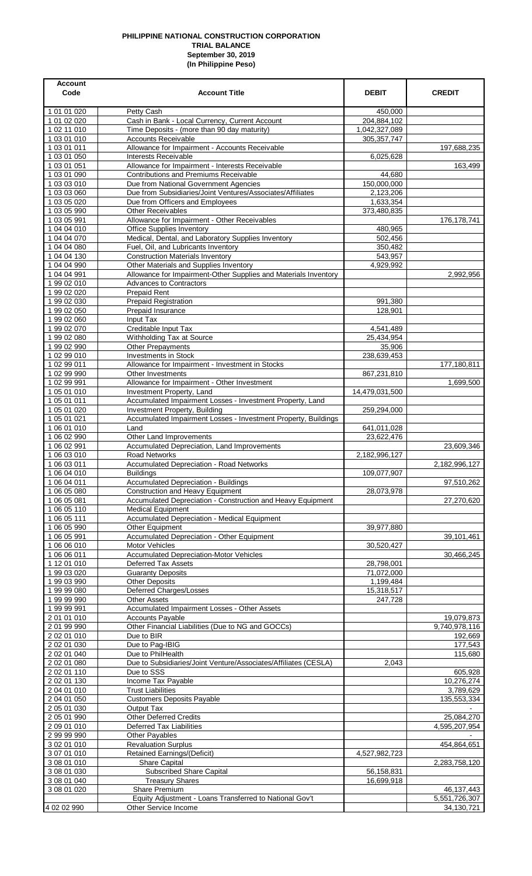## **PHILIPPINE NATIONAL CONSTRUCTION CORPORATION TRIAL BALANCE September 30, 2019 (In Philippine Peso)**

| <b>Account</b><br>Code     | <b>Account Title</b>                                                                                      | <b>DEBIT</b>             | <b>CREDIT</b>               |
|----------------------------|-----------------------------------------------------------------------------------------------------------|--------------------------|-----------------------------|
| 1 01 01 020                | Petty Cash                                                                                                | 450,000                  |                             |
| 1 01 02 020                | Cash in Bank - Local Currency, Current Account                                                            | 204,884,102              |                             |
| 1 02 11 010                | Time Deposits - (more than 90 day maturity)                                                               | 1,042,327,089            |                             |
| 1 03 01 010<br>1 03 01 011 | Accounts Receivable<br>Allowance for Impairment - Accounts Receivable                                     | 305, 357, 747            | 197,688,235                 |
| 1 03 01 050                | Interests Receivable                                                                                      | 6,025,628                |                             |
| 1 03 01 051                | Allowance for Impairment - Interests Receivable                                                           |                          | 163,499                     |
| 1 03 01 090                | <b>Contributions and Premiums Receivable</b>                                                              | 44,680                   |                             |
| 1 03 03 010<br>1 03 03 060 | Due from National Government Agencies<br>Due from Subsidiaries/Joint Ventures/Associates/Affiliates       | 150,000,000<br>2,123,206 |                             |
| 1 03 05 020                | Due from Officers and Employees                                                                           | 1,633,354                |                             |
| 1 03 05 990                | Other Receivables                                                                                         | 373,480,835              |                             |
| 1 03 05 991                | Allowance for Impairment - Other Receivables                                                              |                          | 176,178,741                 |
| 1 04 04 010<br>1 04 04 070 | Office Supplies Inventory<br>Medical, Dental, and Laboratory Supplies Inventory                           | 480,965<br>502,456       |                             |
| 1 04 04 080                | Fuel, Oil, and Lubricants Inventory                                                                       | 350,482                  |                             |
| 1 04 04 130                | <b>Construction Materials Inventory</b>                                                                   | 543,957                  |                             |
| 1 04 04 990<br>1 04 04 991 | Other Materials and Supplies Inventory<br>Allowance for Impairment-Other Supplies and Materials Inventory | 4,929,992                | 2,992,956                   |
| 1 99 02 010                | <b>Advances to Contractors</b>                                                                            |                          |                             |
| 1 99 02 020                | Prepaid Rent                                                                                              |                          |                             |
| 1 99 02 030                | <b>Prepaid Registration</b>                                                                               | 991,380                  |                             |
| 1 99 02 050<br>1 99 02 060 | Prepaid Insurance<br>Input Tax                                                                            | 128,901                  |                             |
| 1 99 02 070                | Creditable Input Tax                                                                                      | 4,541,489                |                             |
| 1 99 02 080                | Withholding Tax at Source                                                                                 | 25,434,954               |                             |
| 1 99 02 990                | <b>Other Prepayments</b>                                                                                  | 35,906                   |                             |
| 1 02 99 010<br>1 02 99 011 | Investments in Stock<br>Allowance for Impairment - Investment in Stocks                                   | 238,639,453              | 177,180,811                 |
| 1 02 99 990                | Other Investments                                                                                         | 867,231,810              |                             |
| 1 02 99 991                | Allowance for Impairment - Other Investment                                                               |                          | 1,699,500                   |
| 1 05 01 010                | Investment Property, Land                                                                                 | 14,479,031,500           |                             |
| 1 05 01 011<br>1 05 01 020 | Accumulated Impairment Losses - Investment Property, Land<br>Investment Property, Building                | 259,294,000              |                             |
| 1 05 01 021                | Accumulated Impairment Losses - Investment Property, Buildings                                            |                          |                             |
| 1 06 01 010                | Land                                                                                                      | 641,011,028              |                             |
| 1 06 02 990                | Other Land Improvements                                                                                   | 23,622,476               |                             |
| 1 06 02 991<br>1 06 03 010 | Accumulated Depreciation, Land Improvements<br><b>Road Networks</b>                                       | 2,182,996,127            | 23,609,346                  |
| 1 06 03 011                | <b>Accumulated Depreciation - Road Networks</b>                                                           |                          | 2,182,996,127               |
| 1 06 04 010                | <b>Buildings</b>                                                                                          | 109,077,907              |                             |
| 1 06 04 011                | <b>Accumulated Depreciation - Buildings</b>                                                               |                          | 97,510,262                  |
| 1 06 05 080<br>1 06 05 081 | Construction and Heavy Equipment<br>Accumulated Depreciation - Construction and Heavy Equipment           | 28,073,978               | 27,270,620                  |
| 1 06 05 110                | <b>Medical Equipment</b>                                                                                  |                          |                             |
| 1 06 05 111                | <b>Accumulated Depreciation - Medical Equipment</b>                                                       |                          |                             |
| 1 06 05 990                | Other Equipment                                                                                           | 39,977,880               |                             |
| 1 06 05 991<br>1 06 06 010 | Accumulated Depreciation - Other Equipment<br>Motor Vehicles                                              | 30,520,427               | 39,101,461                  |
| 1 06 06 011                | <b>Accumulated Depreciation-Motor Vehicles</b>                                                            |                          | 30,466,245                  |
| 1 12 01 010                | <b>Deferred Tax Assets</b>                                                                                | 28,798,001               |                             |
| 199 03 020<br>1 99 03 990  | <b>Guaranty Deposits</b><br><b>Other Deposits</b>                                                         | 71,072,000<br>1,199,484  |                             |
| 1 99 99 080                | Deferred Charges/Losses                                                                                   | 15,318,517               |                             |
| 1 99 99 990                | <b>Other Assets</b>                                                                                       | 247,728                  |                             |
| 1 99 99 991                | Accumulated Impairment Losses - Other Assets                                                              |                          |                             |
| 2 01 01 010<br>2 01 99 990 | <b>Accounts Payable</b><br>Other Financial Liabilities (Due to NG and GOCCs)                              |                          | 19,079,873<br>9,740,978,116 |
| 2 02 01 010                | Due to BIR                                                                                                |                          | 192,669                     |
| 2 02 01 030                | Due to Pag-IBIG                                                                                           |                          | 177,543                     |
| 2 02 01 040                | Due to PhilHealth                                                                                         | 2,043                    | 115,680                     |
| 2 02 01 080<br>2 02 01 110 | Due to Subsidiaries/Joint Venture/Associates/Affiliates (CESLA)<br>Due to SSS                             |                          | 605,928                     |
| 2 02 01 130                | Income Tax Payable                                                                                        |                          | 10,276,274                  |
| 2 04 01 010                | <b>Trust Liabilities</b>                                                                                  |                          | 3,789,629                   |
| 2 04 01 050<br>2 05 01 030 | <b>Customers Deposits Payable</b><br>Output Tax                                                           |                          | 135,553,334                 |
| 2 05 01 990                | Other Deferred Credits                                                                                    |                          | 25,084,270                  |
| 2 09 01 010                | <b>Deferred Tax Liabilities</b>                                                                           |                          | 4,595,207,954               |
| 2 99 99 990                | Other Payables                                                                                            |                          |                             |
| 3 02 01 010<br>3 07 01 010 | <b>Revaluation Surplus</b><br><b>Retained Earnings/(Deficit)</b>                                          | 4,527,982,723            | 454,864,651                 |
| 3 08 01 010                | <b>Share Capital</b>                                                                                      |                          | 2,283,758,120               |
| 3 08 01 030                | <b>Subscribed Share Capital</b>                                                                           | 56,158,831               |                             |
| 3 08 01 040                | <b>Treasury Shares</b>                                                                                    | 16,699,918               |                             |
| 3 08 01 020                | <b>Share Premium</b><br>Equity Adjustment - Loans Transferred to National Gov't                           |                          | 46,137,443<br>5,551,726,307 |
| 4 02 02 990                | Other Service Income                                                                                      |                          | 34, 130, 721                |